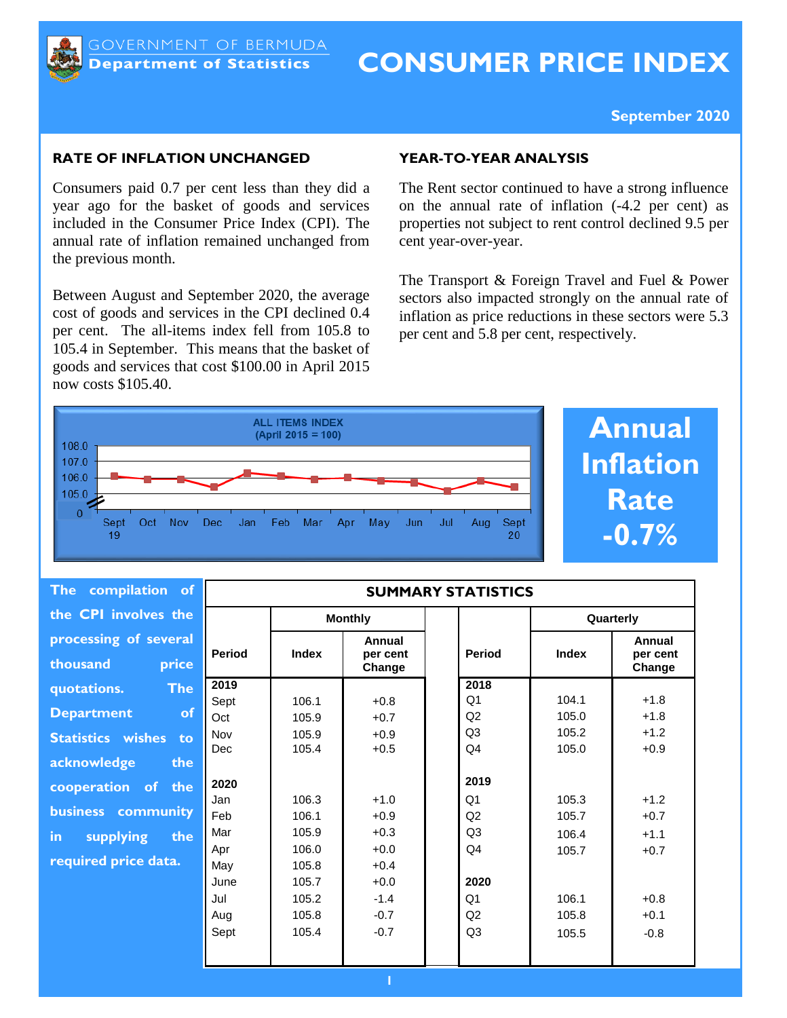

# **CONSUMER PRICE INDEX**

## **September 2020**

## **RATE OF INFLATION UNCHANGED**

Consumers paid 0.7 per cent less than they did a year ago for the basket of goods and services included in the Consumer Price Index (CPI). The annual rate of inflation remained unchanged from the previous month.

Between August and September 2020, the average cost of goods and services in the CPI declined 0.4 per cent. The all-items index fell from 105.8 to 105.4 in September. This means that the basket of goods and services that cost \$100.00 in April 2015 now costs \$105.40.

## **YEAR-TO-YEAR ANALYSIS**

The Rent sector continued to have a strong influence on the annual rate of inflation (-4.2 per cent) as properties not subject to rent control declined 9.5 per cent year-over-year.

The Transport & Foreign Travel and Fuel & Power sectors also impacted strongly on the annual rate of inflation as price reductions in these sectors were 5.3 per cent and 5.8 per cent, respectively.



| <b>Annual</b>    |
|------------------|
| <b>Inflation</b> |
| <b>Rate</b>      |
| $-0.7\%$         |

| <b>The</b><br>compilation of               |               |                |                              | <b>SUMMARY STATISTICS</b> |           |                              |  |
|--------------------------------------------|---------------|----------------|------------------------------|---------------------------|-----------|------------------------------|--|
| the CPI involves the                       |               | <b>Monthly</b> |                              |                           | Quarterly |                              |  |
| processing of several<br>thousand<br>price | <b>Period</b> | <b>Index</b>   | Annual<br>per cent<br>Change | <b>Period</b>             | Index     | Annual<br>per cent<br>Change |  |
| <b>The</b><br>quotations.                  | 2019          |                |                              | 2018                      |           |                              |  |
|                                            | Sept          | 106.1          | $+0.8$                       | Q <sub>1</sub>            | 104.1     | $+1.8$                       |  |
| <b>of</b><br><b>Department</b>             | Oct           | 105.9          | $+0.7$                       | Q2                        | 105.0     | $+1.8$                       |  |
| <b>Statistics wishes</b><br>to             | Nov           | 105.9          | $+0.9$                       | Q <sub>3</sub>            | 105.2     | $+1.2$                       |  |
|                                            | Dec           | 105.4          | $+0.5$                       | Q <sub>4</sub>            | 105.0     | $+0.9$                       |  |
| acknowledge<br>the                         |               |                |                              |                           |           |                              |  |
| cooperation of the                         | 2020          |                |                              | 2019                      |           |                              |  |
|                                            | Jan           | 106.3          | $+1.0$                       | Q <sub>1</sub>            | 105.3     | $+1.2$                       |  |
| business community                         | Feb           | 106.1          | $+0.9$                       | Q2                        | 105.7     | $+0.7$                       |  |
| supplying<br>in.<br>the                    | Mar           | 105.9          | $+0.3$                       | Q <sub>3</sub>            | 106.4     | $+1.1$                       |  |
|                                            | Apr           | 106.0          | $+0.0$                       | Q <sub>4</sub>            | 105.7     | $+0.7$                       |  |
| required price data.                       | May           | 105.8          | $+0.4$                       |                           |           |                              |  |
|                                            | June          | 105.7          | $+0.0$                       | 2020                      |           |                              |  |
|                                            | Jul           | 105.2          | $-1.4$                       | Q <sub>1</sub>            | 106.1     | $+0.8$                       |  |
|                                            | Aug           | 105.8          | $-0.7$                       | Q2                        | 105.8     | $+0.1$                       |  |
|                                            | Sept          | 105.4          | $-0.7$                       | Q <sub>3</sub>            | 105.5     | $-0.8$                       |  |
|                                            |               |                |                              |                           |           |                              |  |
|                                            |               |                |                              |                           |           |                              |  |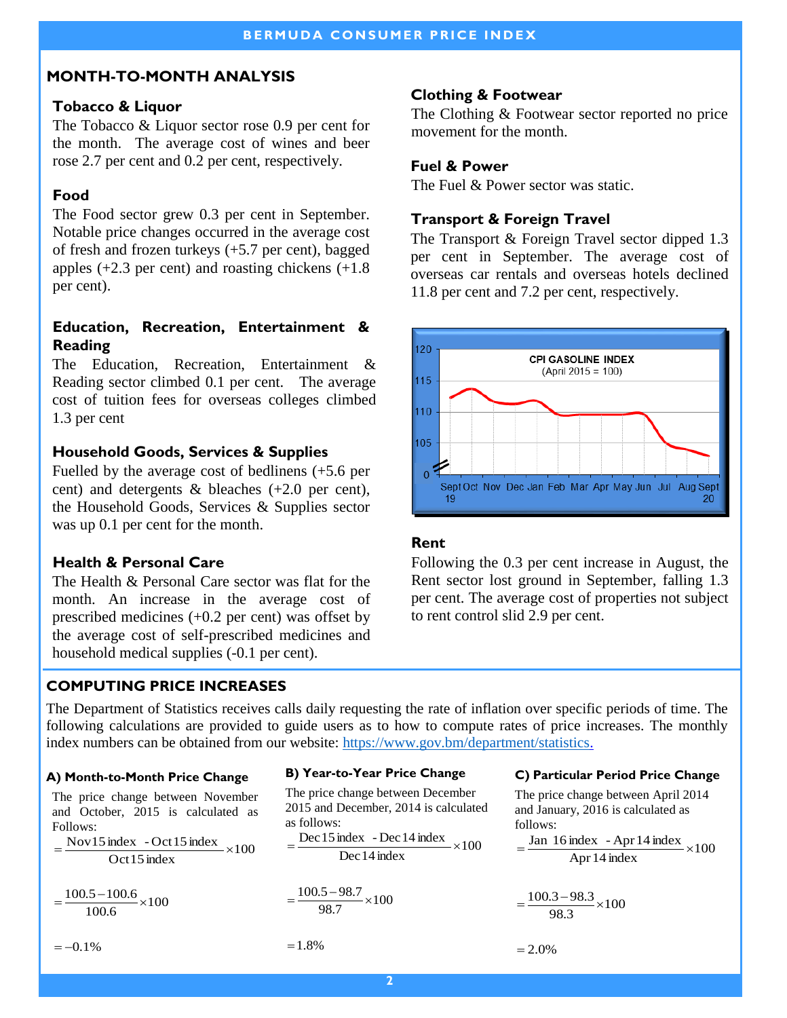# **MONTH-TO-MONTH ANALYSIS**

# **Tobacco & Liquor**

The Tobacco & Liquor sector rose 0.9 per cent for the month. The average cost of wines and beer rose 2.7 per cent and 0.2 per cent, respectively.

# **Food**

The Food sector grew 0.3 per cent in September. Notable price changes occurred in the average cost of fresh and frozen turkeys (+5.7 per cent), bagged apples  $(+2.3$  per cent) and roasting chickens  $(+1.8)$ per cent).

# **Education, Recreation, Entertainment & Reading**

The Education, Recreation, Entertainment & Reading sector climbed 0.1 per cent. The average cost of tuition fees for overseas colleges climbed 1.3 per cent

# **Household Goods, Services & Supplies**

Fuelled by the average cost of bedlinens (+5.6 per cent) and detergents  $\&$  bleaches  $(+2.0 \text{ per cent}),$ the Household Goods, Services & Supplies sector was up 0.1 per cent for the month.

# **Health & Personal Care**

The Health & Personal Care sector was flat for the month. An increase in the average cost of prescribed medicines (+0.2 per cent) was offset by the average cost of self-prescribed medicines and household medical supplies (-0.1 per cent).

# **COMPUTING PRICE INCREASES**

# **Clothing & Footwear**

The Clothing & Footwear sector reported no price movement for the month.

# **Fuel & Power**

The Fuel & Power sector was static.

# **Transport & Foreign Travel**

The Transport & Foreign Travel sector dipped 1.3 per cent in September. The average cost of overseas car rentals and overseas hotels declined 11.8 per cent and 7.2 per cent, respectively.



# **Rent**

Following the 0.3 per cent increase in August, the Rent sector lost ground in September, falling 1.3 per cent. The average cost of properties not subject to rent control slid 2.9 per cent.

The Department of Statistics receives calls daily requesting the rate of inflation over specific periods of time. The following calculations are provided to guide users as to how to compute rates of price increases. The monthly index numbers can be obtained from our website: [https://www.gov.bm/department/statistics.](https://www.gov.bm/department/statistics) 

## **A) Month-to-Month Price Change**

The price change between November and October, 2015 is calculated as Follows:

 $=\frac{\text{Nov15 index} - \text{Oct15 index}}{0.15 \times 100} \times 100$ Oct 15 index

 $=\frac{100.5-100.6}{100.5} \times 100$  $100.6$ 

 $=-0.1%$ 

#### **B) Year-to-Year Price Change**

The price change between December 2015 and December, 2014 is calculated as follows:

$$
= \frac{\text{Dec 15 index} - \text{Dec 14 index}}{\text{Dec 14 index}} \times 100
$$

$$
=\frac{100.5-98.7}{98.7}\times100
$$

 $=1.8%$ 

#### **C ) Particular Period Price Change**

The price change between April 2014 and January, 2016 is calculated as follows:  $=\frac{\text{Jan }16 \text{ index } - \text{Apr }14 \text{ index}}{100 \text{ k}} \times 100$ Apr 14 index

$$
=\frac{100.3-98.3}{98.3}\times100
$$

 $= 2.0\%$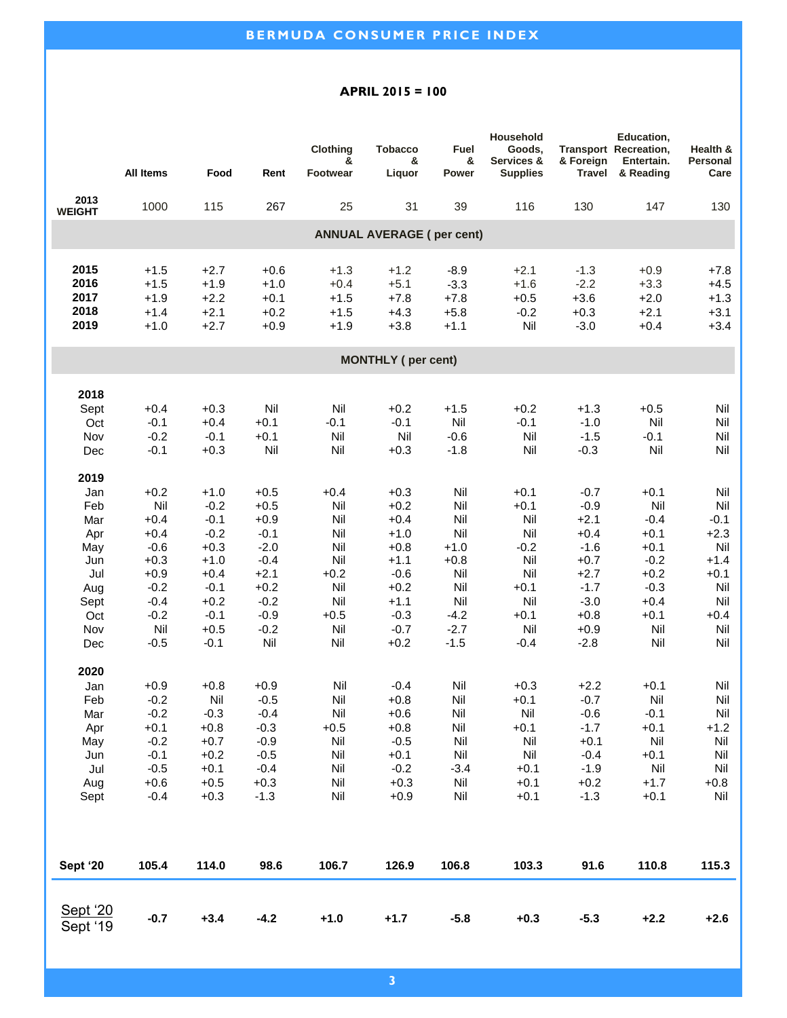#### **APRIL 2015 = 100**

|                                  |                  |                  |                  | Clothing<br>&    | <b>Tobacco</b><br>& | Fuel<br>&        | Household<br>Goods,<br>Services & | & Foreign        | Education,<br><b>Transport Recreation,</b><br>Entertain. | Health &<br>Personal |  |
|----------------------------------|------------------|------------------|------------------|------------------|---------------------|------------------|-----------------------------------|------------------|----------------------------------------------------------|----------------------|--|
|                                  | <b>All Items</b> | Food             | Rent             | <b>Footwear</b>  | Liquor              | Power            | <b>Supplies</b>                   | <b>Travel</b>    | & Reading                                                | Care                 |  |
| 2013<br><b>WEIGHT</b>            | 1000             | 115              | 267              | 25               | 31                  | 39               | 116                               | 130              | 147                                                      | 130                  |  |
| <b>ANNUAL AVERAGE (per cent)</b> |                  |                  |                  |                  |                     |                  |                                   |                  |                                                          |                      |  |
|                                  |                  |                  |                  |                  |                     |                  |                                   |                  |                                                          |                      |  |
| 2015                             | $+1.5$           | $+2.7$           | $+0.6$           | $+1.3$           | $+1.2$              | $-8.9$           | $+2.1$                            | $-1.3$           | $+0.9$                                                   | $+7.8$               |  |
| 2016<br>2017                     | $+1.5$<br>$+1.9$ | $+1.9$<br>$+2.2$ | $+1.0$<br>$+0.1$ | $+0.4$<br>$+1.5$ | $+5.1$<br>$+7.8$    | $-3.3$<br>$+7.8$ | $+1.6$<br>$+0.5$                  | $-2.2$<br>$+3.6$ | $+3.3$<br>$+2.0$                                         | $+4.5$<br>$+1.3$     |  |
| 2018                             | $+1.4$           | $+2.1$           | $+0.2$           | $+1.5$           | $+4.3$              | $+5.8$           | $-0.2$                            | $+0.3$           | $+2.1$                                                   | $+3.1$               |  |
| 2019                             | $+1.0$           | $+2.7$           | $+0.9$           | $+1.9$           | $+3.8$              | $+1.1$           | Nil                               | $-3.0$           | $+0.4$                                                   | $+3.4$               |  |
|                                  |                  |                  |                  |                  |                     |                  |                                   |                  |                                                          |                      |  |
| <b>MONTHLY</b> (per cent)        |                  |                  |                  |                  |                     |                  |                                   |                  |                                                          |                      |  |
| 2018                             |                  |                  |                  |                  |                     |                  |                                   |                  |                                                          |                      |  |
| Sept                             | $+0.4$           | $+0.3$           | Nil              | Nil              | $+0.2$              | $+1.5$           | $+0.2$                            | $+1.3$           | $+0.5$                                                   | Nil                  |  |
| Oct                              | $-0.1$           | $+0.4$           | $+0.1$           | $-0.1$           | $-0.1$              | Nil              | $-0.1$                            | $-1.0$           | Nil                                                      | Nil                  |  |
| Nov                              | $-0.2$           | $-0.1$           | $+0.1$           | Nil              | Nil                 | $-0.6$           | Nil                               | $-1.5$           | $-0.1$                                                   | Nil                  |  |
| Dec                              | $-0.1$           | $+0.3$           | Nil              | Nil              | $+0.3$              | $-1.8$           | Nil                               | $-0.3$           | Nil                                                      | Nil                  |  |
| 2019                             |                  |                  |                  |                  |                     |                  |                                   |                  |                                                          |                      |  |
| Jan                              | $+0.2$           | $+1.0$           | $+0.5$           | $+0.4$           | $+0.3$              | Nil              | $+0.1$                            | $-0.7$           | $+0.1$                                                   | Nil                  |  |
| Feb                              | Nil              | $-0.2$           | $+0.5$           | Nil              | $+0.2$              | Nil              | $+0.1$                            | $-0.9$           | Nil                                                      | Nil                  |  |
| Mar<br>Apr                       | $+0.4$<br>$+0.4$ | $-0.1$<br>$-0.2$ | $+0.9$<br>$-0.1$ | Nil<br>Nil       | $+0.4$<br>$+1.0$    | Nil<br>Nil       | Nil<br>Nil                        | $+2.1$<br>$+0.4$ | $-0.4$<br>$+0.1$                                         | $-0.1$<br>$+2.3$     |  |
| May                              | $-0.6$           | $+0.3$           | $-2.0$           | Nil              | $+0.8$              | $+1.0$           | $-0.2$                            | $-1.6$           | $+0.1$                                                   | Nil                  |  |
| Jun                              | $+0.3$           | $+1.0$           | $-0.4$           | Nil              | $+1.1$              | $+0.8$           | Nil                               | $+0.7$           | $-0.2$                                                   | $+1.4$               |  |
| Jul                              | $+0.9$           | $+0.4$           | $+2.1$           | $+0.2$           | $-0.6$              | Nil              | Nil                               | $+2.7$           | $+0.2$                                                   | $+0.1$               |  |
| Aug                              | $-0.2$           | $-0.1$           | $+0.2$           | Nil              | $+0.2$              | Nil              | $+0.1$                            | $-1.7$           | $-0.3$                                                   | Nil                  |  |
| Sept                             | $-0.4$           | $+0.2$           | $-0.2$           | Nil              | $+1.1$              | Nil              | Nil                               | $-3.0$           | $+0.4$                                                   | Nil                  |  |
| Oct                              | $-0.2$           | $-0.1$           | $-0.9$           | $+0.5$           | $-0.3$              | $-4.2$           | $+0.1$                            | $+0.8$           | $+0.1$                                                   | $+0.4$               |  |
| Nov                              | Nil              | $+0.5$           | $-0.2$           | Nil              | $-0.7$              | $-2.7$           | Nil                               | $+0.9$           | Nil                                                      | Nil                  |  |
| Dec                              | $-0.5$           | $-0.1$           | Nil              | Nil              | $+0.2$              | $-1.5$           | $-0.4$                            | $-2.8$           | Nil                                                      | Nil                  |  |
| 2020                             |                  |                  |                  |                  |                     |                  |                                   |                  |                                                          |                      |  |
| Jan                              | $+0.9$           | $+0.8$           | $+0.9$           | Nil              | $-0.4$              | Nil              | $+0.3$                            | $+2.2$           | $+0.1$                                                   | Nil                  |  |
| Feb                              | $-0.2$           | Nil              | $-0.5$           | Nil              | $+0.8$              | Nil              | $+0.1$                            | $-0.7$           | Nil                                                      | Nil                  |  |
| Mar                              | $-0.2$           | $-0.3$           | $-0.4$           | Nil              | $+0.6$              | Nil              | Nil                               | $-0.6$           | $-0.1$                                                   | Nil                  |  |
| Apr<br>May                       | $+0.1$<br>$-0.2$ | $+0.8$<br>$+0.7$ | $-0.3$<br>$-0.9$ | $+0.5$<br>Nil    | $+0.8$<br>$-0.5$    | Nil<br>Nil       | $+0.1$<br>Nil                     | $-1.7$<br>$+0.1$ | $+0.1$<br>Nil                                            | $+1.2$<br>Nil        |  |
| Jun                              | $-0.1$           | $+0.2$           | $-0.5$           | Nil              | $+0.1$              | Nil              | Nil                               | $-0.4$           | $+0.1$                                                   | Nil                  |  |
| Jul                              | $-0.5$           | $+0.1$           | $-0.4$           | Nil              | $-0.2$              | $-3.4$           | $+0.1$                            | $-1.9$           | Nil                                                      | Nil                  |  |
| Aug                              | $+0.6$           | $+0.5$           | $+0.3$           | Nil              | $+0.3$              | Nil              | $+0.1$                            | $+0.2$           | $+1.7$                                                   | $+0.8$               |  |
| Sept                             | $-0.4$           | $+0.3$           | $-1.3$           | Nil              | $+0.9$              | Nil              | $+0.1$                            | $-1.3$           | $+0.1$                                                   | Nil                  |  |
|                                  |                  |                  |                  |                  |                     |                  |                                   |                  |                                                          |                      |  |
| Sept '20                         | 105.4            | 114.0            | 98.6             | 106.7            | 126.9               | 106.8            | 103.3                             | 91.6             | 110.8                                                    | 115.3                |  |
| Sept '20<br>Sept '19             | $-0.7$           | $+3.4$           | $-4.2$           | $+1.0$           | $+1.7$              | $-5.8$           | $+0.3$                            | $-5.3$           | $+2.2$                                                   | $+2.6$               |  |